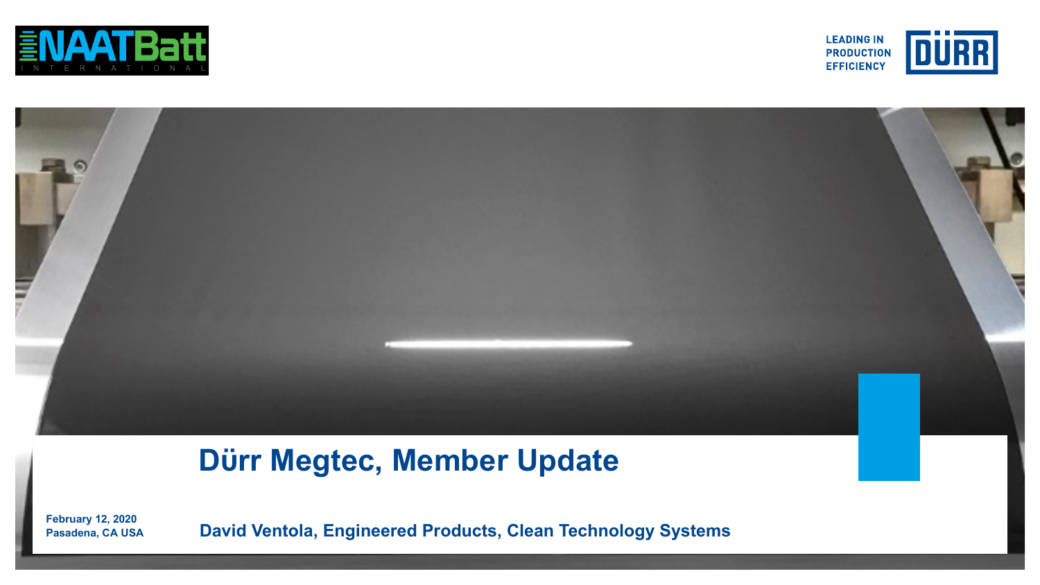





# **Dϋrr Megtec, Member Update**

**Pasadena, CA USA David Ventola, Engineered Products, Clean Technology Systems February 12, 2020**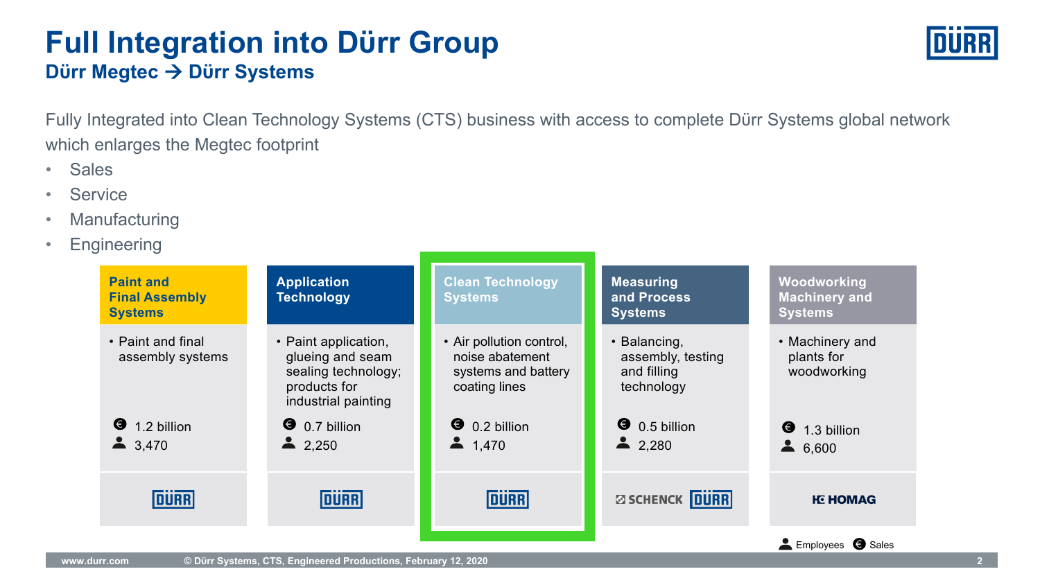### **Dϋrr Megtec** à **Dϋrr Systems Full Integration into Dϋrr Group**

Fully Integrated into Clean Technology Systems (CTS) business with access to complete Dϋrr Systems global network which enlarges the Megtec footprint

- Sales
- Service
- Manufacturing
- Engineering

| <b>Paint and</b><br><b>Final Assembly</b><br><b>Systems</b> | <b>Application</b><br><b>Technology</b>                                                                | <b>Clean Technology</b><br><b>Systems</b>                                           | <b>Measuring</b><br>and Process<br><b>Systems</b>              | Woodworking<br><b>Machinery and</b><br><b>Systems</b> |
|-------------------------------------------------------------|--------------------------------------------------------------------------------------------------------|-------------------------------------------------------------------------------------|----------------------------------------------------------------|-------------------------------------------------------|
| • Paint and final<br>assembly systems                       | • Paint application,<br>glueing and seam<br>sealing technology;<br>products for<br>industrial painting | • Air pollution control,<br>noise abatement<br>systems and battery<br>coating lines | • Balancing,<br>assembly, testing<br>and filling<br>technology | • Machinery and<br>plants for<br>woodworking          |
| ❸<br>1.2 billion<br>3,470                                   | $\bullet$ 0.7 billion<br>2,250                                                                         | $\bullet$ 0.2 billion<br>1,470                                                      | $\bullet$ 0.5 billion<br>2,280                                 | $\bullet$ 1.3 billion<br>$\blacktriangle$<br>6.600    |
| <b>DURR</b>                                                 | <b>DURR</b>                                                                                            | <b>DURR</b>                                                                         | <b>ØSCHENCK DURR</b>                                           | <b>IE HOMAG</b>                                       |
|                                                             |                                                                                                        |                                                                                     |                                                                | Employees 3 Sales                                     |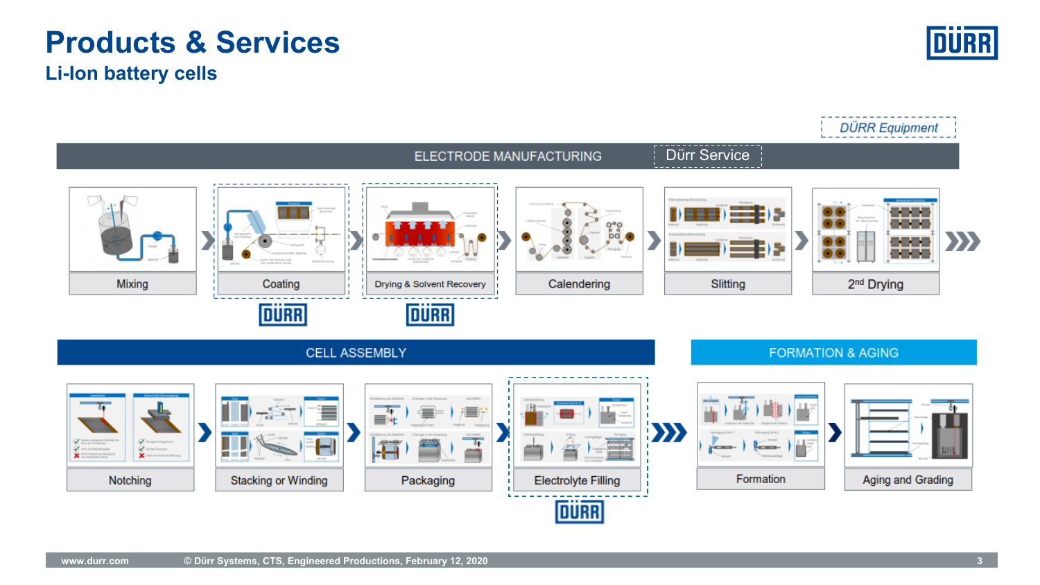#### **www.durr.com © Dϋrr Systems, CTS, Engineered Productions, February 12, 2020 3**

# **Li-Ion battery cells Products & Services**

|                                                                        |                                                      | ELECTRODE MANUFACTURING                                                   |                                                                  |                    | Dürr Service                                          |  |                                    |     |
|------------------------------------------------------------------------|------------------------------------------------------|---------------------------------------------------------------------------|------------------------------------------------------------------|--------------------|-------------------------------------------------------|--|------------------------------------|-----|
| Mixing                                                                 | Kapiter sche Ananomarenzin<br>Coating<br><b>DURR</b> | Drying & Solvent Recovery<br><b>DURR</b>                                  | Calendering                                                      |                    | Slitting                                              |  | 88<br>88<br>2 <sup>nd</sup> Drying | XX) |
| <b>CELL ASSEMBLY</b>                                                   |                                                      |                                                                           |                                                                  |                    | <b>FORMATION &amp; AGING</b>                          |  |                                    |     |
| C tempor trapment<br>Complement<br>×.<br>guesti ai fatza y<br>Notching | ш<br>Arty-Rid<br><b>Stacking or Winding</b>          | <b>Contabinezea</b> des 2<br>क<br>,∎<br>$\overline{4}$<br>jī<br>Packaging | $\equiv$<br>ر دستور<br><b>Electrolyte Filling</b><br><b>DÜRR</b> | $\ket{\mathbf{y}}$ | <b>Seconds</b><br><b>START OF BRIDER</b><br>Formation |  | Aging and Grading                  |     |

**DÜRR Equipment**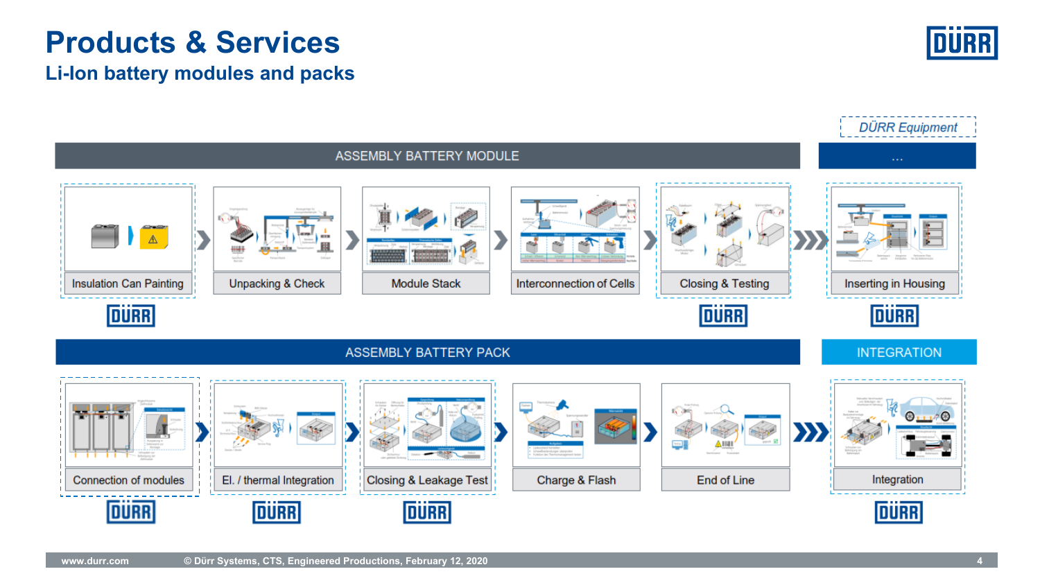# **Products & Services**

#### **Li-Ion battery modules and packs**



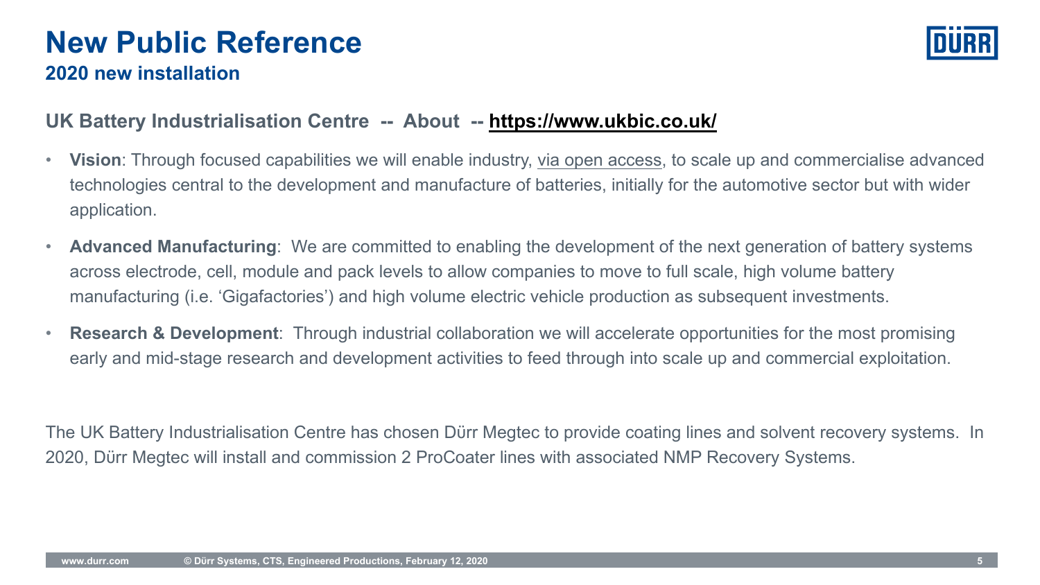### **2020 new installation New Public Reference**

#### **UK Battery Industrialisation Centre -- About -- https://www.ukbic.org**

- **Vision**: Through focused capabilities we will enable industry, via open access technologies central to the development and manufacture of batteries, initially application.
- **Advanced Manufacturing**: We are committed to enabling the development of across electrode, cell, module and pack levels to allow companies to move to manufacturing (i.e. 'Gigafactories') and high volume electric vehicle production
- **Research & Development**: Through industrial collaboration we will accelerate early and mid-stage research and development activities to feed through into

The UK Battery Industrialisation Centre has chosen Dürr Megtec to provide coati 2020, Dürr Megtec will install and commission 2 ProCoater lines with associated